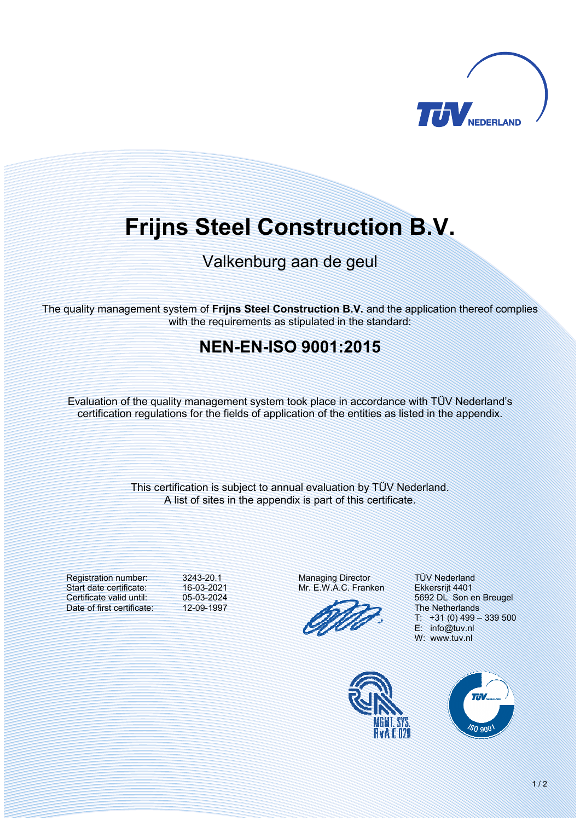

# **Frijns Steel Construction B.V.**

# Valkenburg aan de geul

The quality management system of **Frijns Steel Construction B.V.** and the application thereof complies with the requirements as stipulated in the standard:

## **NENENISO 9001:2015**

Evaluation of the quality management system took place in accordance with TÜV Nederland's certification regulations for the fields of application of the entities as listed in the appendix.

> This certification is subject to annual evaluation by TÜV Nederland. A list of sites in the appendix is part of this certificate.

Registration number: Start date certificate: Certificate valid until: Date of first certificate: 3243-20.1 16-03-2021 05-03-2024 12-09-1997 Managing Director Mr. E.W.A.C. Franken

TÜV Nederland Ekkersrijt 4401 5692 DL Son en Breugel The Netherlands  $T: +31(0)$  499 - 339 500 E: info@tuv.nl W: www.tuv.nl